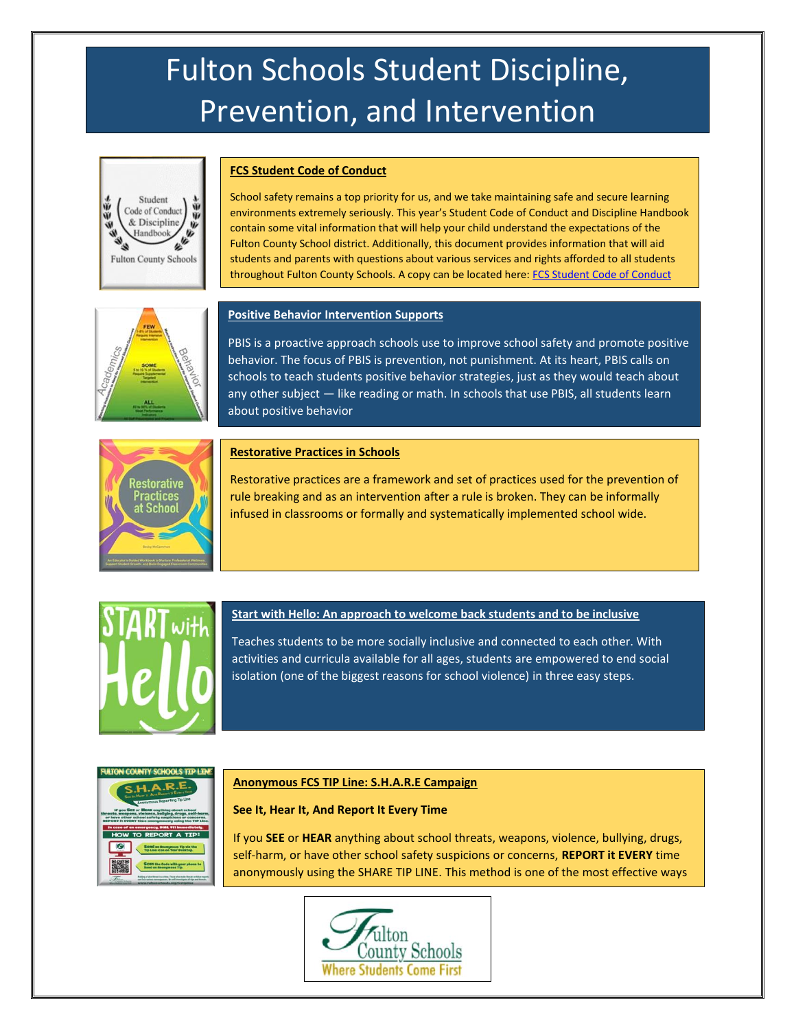# Fulton Schools Student Discipline, Prevention, and Intervention



### **FCS Student Code of Conduct**

School safety remains a top priority for us, and we take maintaining safe and secure learning environments extremely seriously. This year's Student Code of Conduct and Discipline Handbook contain some vital information that will help your child understand the expectations of the Fulton County School district. Additionally, this document provides information that will aid students and parents with questions about various services and rights afforded to all students throughout Fulton County Schools. A copy can be located here: [FCS Student Code of Conduct](https://www.fultonschools.org/CodeOfConduct) 



## **Positive Behavior Intervention Supports**

PBIS is a proactive approach schools use to improve school safety and promote positive behavior. The focus of PBIS is prevention, not punishment. At its heart, PBIS calls on schools to teach students positive behavior strategies, just as they would teach about any other subject — like reading or math. In schools that use PBIS, all students learn about positive behavior



#### **Restorative Practices in Schools**

Restorative practices are a framework and set of practices used for the prevention of rule breaking and as an intervention after a rule is broken. They can be informally infused in classrooms or formally and systematically implemented school wide.



### **Start with Hello: An approach to welcome back students and to be inclusive**

Teaches students to be more socially inclusive and connected to each other. With activities and curricula available for all ages, students are empowered to end social isolation (one of the biggest reasons for school violence) in three easy steps.



#### **Anonymous FCS TIP Line: S.H.A.R.E Campaign**

## **See It, Hear It, And Report It Every Time**

If you **SEE** or **HEAR** anything about school threats, weapons, violence, bullying, drugs, self-harm, or have other school safety suspicions or concerns, **REPORT it EVERY** time anonymously using the SHARE TIP LINE. This method is one of the most effective ways